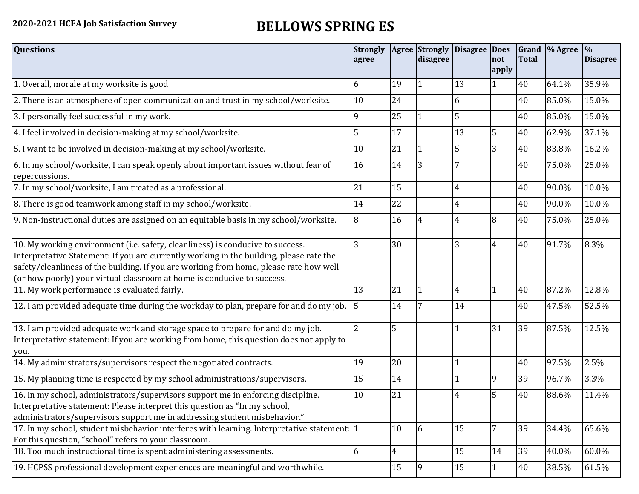## **2020-2021 HCEA Job Satisfaction Survey BELLOWS SPRING ES**

| <b>Questions</b>                                                                                                                                                                                                                                                                                                                               | <b>Strongly</b><br>agree |    | Agree Strongly<br>disagree | <b>Disagree Does</b> | not<br>apply | Grand<br><b>Total</b> | $\%$ Agree | $\frac{9}{6}$<br><b>Disagree</b> |
|------------------------------------------------------------------------------------------------------------------------------------------------------------------------------------------------------------------------------------------------------------------------------------------------------------------------------------------------|--------------------------|----|----------------------------|----------------------|--------------|-----------------------|------------|----------------------------------|
| 1. Overall, morale at my worksite is good                                                                                                                                                                                                                                                                                                      | 6                        | 19 |                            | 13                   |              | 40                    | 64.1%      | 35.9%                            |
| 2. There is an atmosphere of open communication and trust in my school/worksite.                                                                                                                                                                                                                                                               | 10                       | 24 |                            | 6                    |              | 40                    | 85.0%      | 15.0%                            |
| 3. I personally feel successful in my work.                                                                                                                                                                                                                                                                                                    | 9                        | 25 |                            | 5                    |              | 40                    | 85.0%      | 15.0%                            |
| 4. I feel involved in decision-making at my school/worksite.                                                                                                                                                                                                                                                                                   | 5                        | 17 |                            | 13                   | 5            | 40                    | 62.9%      | 37.1%                            |
| 5. I want to be involved in decision-making at my school/worksite.                                                                                                                                                                                                                                                                             | 10                       | 21 | $\mathbf{1}$               | 5                    | 3            | 40                    | 83.8%      | 16.2%                            |
| 6. In my school/worksite, I can speak openly about important issues without fear of<br>repercussions.                                                                                                                                                                                                                                          | 16                       | 14 | 3                          |                      |              | 40                    | 75.0%      | 25.0%                            |
| 7. In my school/worksite, I am treated as a professional.                                                                                                                                                                                                                                                                                      | 21                       | 15 |                            | 4                    |              | 40                    | 90.0%      | 10.0%                            |
| 8. There is good teamwork among staff in my school/worksite.                                                                                                                                                                                                                                                                                   | 14                       | 22 |                            | 4                    |              | 40                    | 90.0%      | 10.0%                            |
| 9. Non-instructional duties are assigned on an equitable basis in my school/worksite.                                                                                                                                                                                                                                                          | 8                        | 16 | 4                          | 4                    | 8            | 40                    | 75.0%      | 25.0%                            |
| 10. My working environment (i.e. safety, cleanliness) is conducive to success.<br>Interpretative Statement: If you are currently working in the building, please rate the<br>safety/cleanliness of the building. If you are working from home, please rate how well<br>(or how poorly) your virtual classroom at home is conducive to success. | 3                        | 30 |                            | $\overline{3}$       | 4            | 40                    | 91.7%      | 8.3%                             |
| 11. My work performance is evaluated fairly.                                                                                                                                                                                                                                                                                                   | 13                       | 21 | $\mathbf{1}$               | 4                    |              | 40                    | 87.2%      | 12.8%                            |
| 12. I am provided adequate time during the workday to plan, prepare for and do my job.                                                                                                                                                                                                                                                         | $\sqrt{5}$               | 14 |                            | 14                   |              | 40                    | 47.5%      | 52.5%                            |
| 13. I am provided adequate work and storage space to prepare for and do my job.<br>Interpretative statement: If you are working from home, this question does not apply to<br>you.                                                                                                                                                             | $\overline{2}$           | 5  |                            |                      | 31           | 39                    | 87.5%      | 12.5%                            |
| 14. My administrators/supervisors respect the negotiated contracts.                                                                                                                                                                                                                                                                            | 19                       | 20 |                            |                      |              | 40                    | 97.5%      | 2.5%                             |
| 15. My planning time is respected by my school administrations/supervisors.                                                                                                                                                                                                                                                                    | 15                       | 14 |                            |                      | <b>9</b>     | 39                    | 96.7%      | 3.3%                             |
| 16. In my school, administrators/supervisors support me in enforcing discipline.<br>Interpretative statement: Please interpret this question as "In my school,<br>administrators/supervisors support me in addressing student misbehavior."                                                                                                    | 10                       | 21 |                            |                      |              | 40                    | 88.6%      | 11.4%                            |
| 17. In my school, student misbehavior interferes with learning. Interpretative statement: 1<br>For this question, "school" refers to your classroom.                                                                                                                                                                                           |                          | 10 | 6                          | 15                   |              | 39                    | 34.4%      | 65.6%                            |
| 18. Too much instructional time is spent administering assessments.                                                                                                                                                                                                                                                                            | 6                        | 4  |                            | 15                   | 14           | 39                    | 40.0%      | 60.0%                            |
| 19. HCPSS professional development experiences are meaningful and worthwhile.                                                                                                                                                                                                                                                                  |                          | 15 | $\overline{9}$             | 15                   |              | 40                    | 38.5%      | 61.5%                            |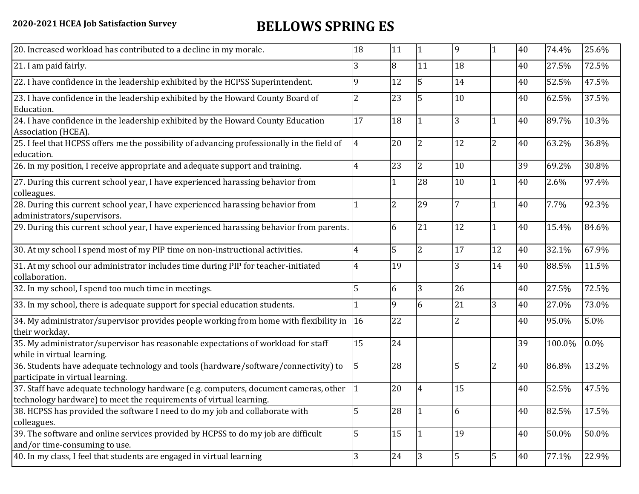## **2020-2021 HCEA Job Satisfaction Survey BELLOWS SPRING ES**

| 20. Increased workload has contributed to a decline in my morale.                                                                                                | 18             | 11 | $\vert$ 1      | 9              |                | 40 | 74.4%  | 25.6% |
|------------------------------------------------------------------------------------------------------------------------------------------------------------------|----------------|----|----------------|----------------|----------------|----|--------|-------|
| 21. I am paid fairly.                                                                                                                                            | 3              | 8  | 11             | 18             |                | 40 | 27.5%  | 72.5% |
| 22. I have confidence in the leadership exhibited by the HCPSS Superintendent.                                                                                   | 9              | 12 | 5              | 14             |                | 40 | 52.5%  | 47.5% |
| 23. I have confidence in the leadership exhibited by the Howard County Board of<br>Education.                                                                    | $\overline{2}$ | 23 | $\overline{5}$ | 10             |                | 40 | 62.5%  | 37.5% |
| 24. I have confidence in the leadership exhibited by the Howard County Education<br>Association (HCEA).                                                          | 17             | 18 | $\mathbf{1}$   | 3              |                | 40 | 89.7%  | 10.3% |
| 25. I feel that HCPSS offers me the possibility of advancing professionally in the field of<br>education.                                                        | $\overline{4}$ | 20 | $\overline{2}$ | 12             | $\overline{2}$ | 40 | 63.2%  | 36.8% |
| 26. In my position, I receive appropriate and adequate support and training.                                                                                     | $\overline{4}$ | 23 | $\overline{2}$ | 10             |                | 39 | 69.2%  | 30.8% |
| 27. During this current school year, I have experienced harassing behavior from<br>colleagues.                                                                   |                |    | 28             | 10             |                | 40 | 2.6%   | 97.4% |
| 28. During this current school year, I have experienced harassing behavior from<br>administrators/supervisors.                                                   | $\mathbf{1}$   | 2  | 29             | 7              |                | 40 | 7.7%   | 92.3% |
| 29. During this current school year, I have experienced harassing behavior from parents.                                                                         |                | 6  | 21             | 12             |                | 40 | 15.4%  | 84.6% |
| 30. At my school I spend most of my PIP time on non-instructional activities.                                                                                    | $\overline{4}$ | 5  | $\overline{2}$ | 17             | 12             | 40 | 32.1%  | 67.9% |
| 31. At my school our administrator includes time during PIP for teacher-initiated<br>collaboration.                                                              | $\overline{4}$ | 19 |                |                | 14             | 40 | 88.5%  | 11.5% |
| 32. In my school, I spend too much time in meetings.                                                                                                             | 5              | 6  | 3              | 26             |                | 40 | 27.5%  | 72.5% |
| 33. In my school, there is adequate support for special education students.                                                                                      |                | 9  | 6              | 21             | 3              | 40 | 27.0%  | 73.0% |
| 34. My administrator/supervisor provides people working from home with flexibility in $ 16 $<br>their workday.                                                   |                | 22 |                | $\overline{2}$ |                | 40 | 95.0%  | 5.0%  |
| 35. My administrator/supervisor has reasonable expectations of workload for staff<br>while in virtual learning.                                                  | 15             | 24 |                |                |                | 39 | 100.0% | 0.0%  |
| 36. Students have adequate technology and tools (hardware/software/connectivity) to<br>participate in virtual learning.                                          | $\overline{5}$ | 28 |                | 5              | $\overline{2}$ | 40 | 86.8%  | 13.2% |
| 37. Staff have adequate technology hardware (e.g. computers, document cameras, other $ 1 $<br>technology hardware) to meet the requirements of virtual learning. |                | 20 | $\overline{4}$ | 15             |                | 40 | 52.5%  | 47.5% |
| 38. HCPSS has provided the software I need to do my job and collaborate with<br>colleagues.                                                                      | 5              | 28 | $\vert$ 1      | 6              |                | 40 | 82.5%  | 17.5% |
| 39. The software and online services provided by HCPSS to do my job are difficult<br>and/or time-consuming to use.                                               | 5              | 15 | $\mathbf{1}$   | 19             |                | 40 | 50.0%  | 50.0% |
| 40. In my class, I feel that students are engaged in virtual learning                                                                                            | 3              | 24 | $\overline{3}$ | $\overline{5}$ | $\overline{5}$ | 40 | 77.1%  | 22.9% |